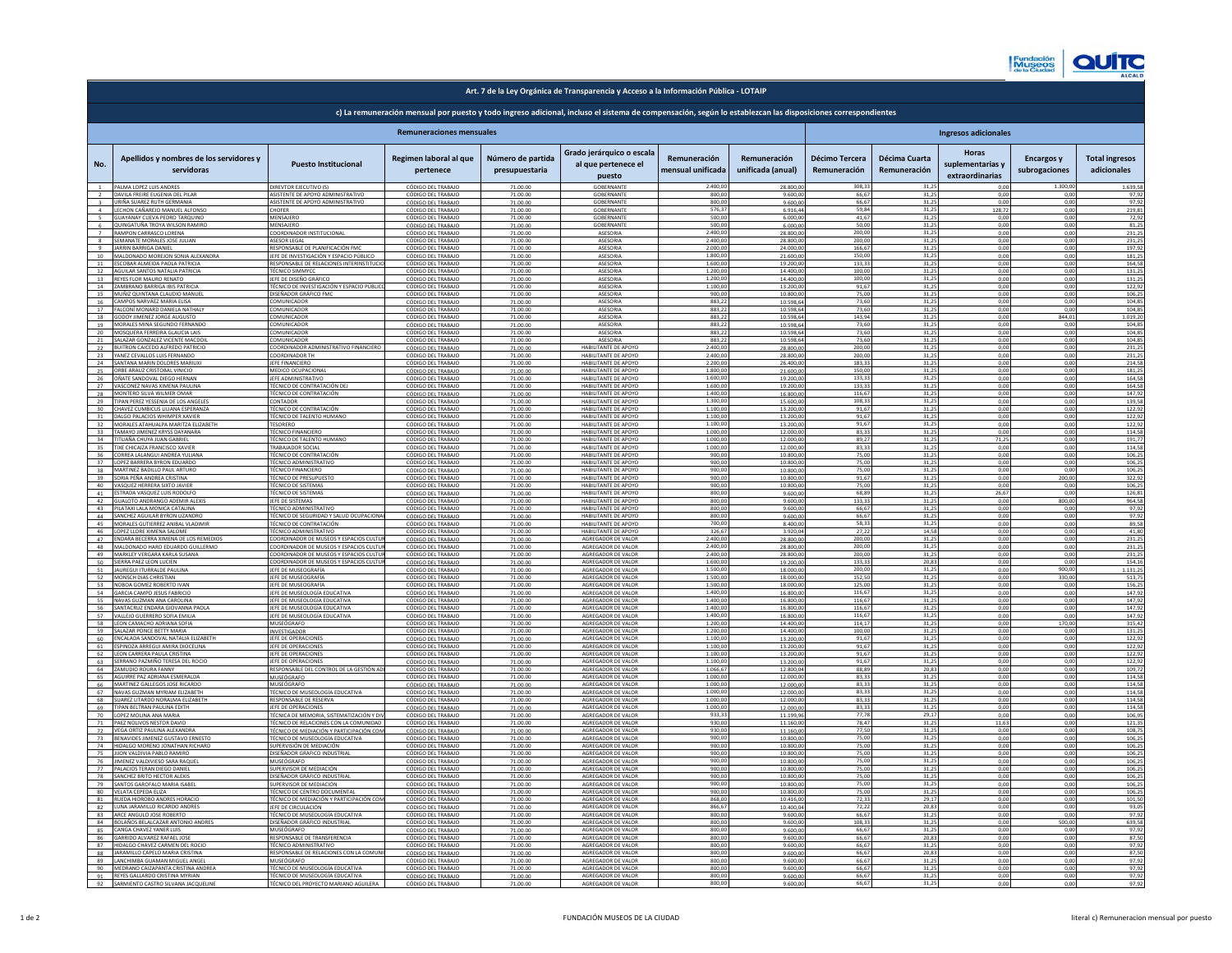| <b>Hankford</b><br>ひついこつと | $\Omega$<br><b>IO</b><br>ч ју.<br><b>ALCALD</b> |
|---------------------------|-------------------------------------------------|
|                           |                                                 |

|                                  | c) La remuneración mensual por puesto y todo ingreso adicional, incluso el sistema de compensación, según lo establezcan las disposiciones correspondientes |                                                                                  |                                          |                                     |                                                            |                                   |                                   |                                       |                               |                                              |                                    |                                      |
|----------------------------------|-------------------------------------------------------------------------------------------------------------------------------------------------------------|----------------------------------------------------------------------------------|------------------------------------------|-------------------------------------|------------------------------------------------------------|-----------------------------------|-----------------------------------|---------------------------------------|-------------------------------|----------------------------------------------|------------------------------------|--------------------------------------|
| <b>Remuneraciones mensuales</b>  |                                                                                                                                                             |                                                                                  |                                          |                                     |                                                            |                                   | <b>Ingresos adicionales</b>       |                                       |                               |                                              |                                    |                                      |
| No.                              | Apellidos y nombres de los servidores y<br>servidoras                                                                                                       | <b>Puesto Institucional</b>                                                      | Regimen laboral al que<br>pertenece      | Número de partida<br>presupuestaria | Grado jerárquico o escala<br>al que pertenece el<br>puesto | Remuneración<br>mensual unificada | Remuneración<br>unificada (anual) | <b>Décimo Tercera</b><br>Remuneración | Décima Cuarta<br>Remuneración | Horas<br>suplementarias y<br>extraordinarias | <b>Encargos y</b><br>subrogaciones | <b>Total ingresos</b><br>adicionales |
| $\overline{1}$<br>$\overline{2}$ | PALMA LOPEZ LUIS ANDRES<br>DAVILA FREIRE EUGENIA DEL PILAR                                                                                                  | DIREVTOR EJECUTIVO (S)<br>ASISTENTE DE APOYO ADMINISTRATIVO                      | CÓDIGO DEL TRABAIC<br>CÓDIGO DEL TRABAJO | 71.00.00<br>71.00.00                | GORFRNANT<br>GORFRNANTE                                    | 2,400.0<br>800.0                  | 28.800.0<br>9,600.0               | 308 $3$<br>66.67                      | 31.25                         | 0.00                                         | 00                                 | 1 639 58<br>97.92                    |
| $\overline{\mathbf{3}}$          | URIÑA SUAREZ RUTH GERMANIA                                                                                                                                  | ASISTENTE DE APOYO ADMINISTRATIVO                                                | CÓDIGO DEL TRABAJO                       | 71.00.00                            | <b>GOBERNANTE</b>                                          | 800.00                            | 9,600.00                          | 66.67                                 | 31.25                         | 0.00                                         | 0.00                               | 97.92                                |
| 4 <sup>1</sup><br>$\sim$         | LECHON CAÑAREIO MANUEL ALFONSO<br>GUAYANAY CUEVA PEDRO TAROUINO                                                                                             | <b>CHOFFR</b><br>MENSAIERC                                                       | CÓDIGO DEL TRABAJO<br>CÓDIGO DEL TRABAIO | 71.00.00<br>71.00.00                | GORFRNANTE<br>GORFRNANTE                                   | 576.37<br>500.0                   | 691644<br>6,000,00                | 59.84<br>41,67                        | 31.25<br>31.25                | 128.72<br>0.00                               | 0.00<br>0.00                       | 219.81<br>72.92                      |
| 6                                | QUINGATUÑA TROYA WILSON RAMIRO                                                                                                                              | MENSAJERO                                                                        | CÓDIGO DEL TRABAJO                       | 71.00.00                            | <b>GOBERNANTE</b>                                          | 500,0                             | 6.000.0                           | 50,0                                  | 31,2                          | 0.00                                         | 0.00                               | 81.25                                |
| $\overline{7}$<br>8              | RAMPON CARRASCO LORENA<br>SEMANATE MORALES JOSE JULIAN                                                                                                      | COORDINADOR INSTITUCIONAL<br><b>ASESOR LEGAL</b>                                 | CÓDIGO DEL TRABAJO<br>CÓDIGO DEL TRABAJO | 71.00.00<br>71.00.00                | <b>ASESORIA</b><br>ASESORIA                                | 2.400.0<br>2.400,0                | 28,800.0<br>28.800,0              | 200.00<br>200,00                      | 31.25<br>31,25                | 0.01<br>0.00                                 | 0.00<br>0.00                       | 231.25<br>231,25                     |
|                                  | 9 JARRIN BARRIGA DANIEL                                                                                                                                     | RESPONSABLE DE PLANIFICACIÓN FMO                                                 | CÓDIGO DEL TRABAJO                       | 71.00.00                            | <b>ASESORIA</b>                                            | 2.000,0                           | 24.000,0                          | 166,67                                | 31,25                         | 0.00                                         | 0.00                               | 197,92                               |
| 10<br>11                         | MALDONADO MOREJON SONIA ALEXANDRA<br>ESCOBAR ALMEIDA PAOLA PATRICIA                                                                                         | EFE DE INVESTIGACIÓN Y ESPACIO PÚBLICO<br>RESPONSABLE DE RELACIONES INTERINS'    | CÓDIGO DEL TRABAJO<br>CÓDIGO DEL TRABAJO | 71.00.00<br>71,00.00                | ASESORIA<br><b>ASESORIA</b>                                | 1.800,0<br>1.600,0                | 21.600,0<br>19.200,0              | 150.0<br>133,3                        | 31,2<br>31,2                  | 0.01<br>0,0                                  | 0.00<br>0,00                       | 181.25<br>164,58                     |
|                                  | 12 AGUILAR SANTOS NATALIA PATRICIA                                                                                                                          | <b>TÉCNICO SIMMYCC</b>                                                           | CÓDIGO DEL TRABAJO                       | 71,00.00                            | ASESORIA                                                   | 1.200                             | 14.400,0                          | 100 <sub>6</sub>                      | 31,2                          | 0,0                                          | 0,0                                | 131,25                               |
|                                  | 13 REYES FLOR MAURO RENATO<br>14 ZAMBRANO BARRIGA IBIS PATRICIA                                                                                             | JEFE DE DISEÑO GRÁFIC<br>TÉCNICO DE INVESTIGACIÓN Y ESPACIO PÚBLI                | CÓDIGO DEL TRABAJ<br>CÓDIGO DEL TRABAJ   | 71.00.0<br>71.00.00                 | ASESORIA<br>ASESORIA                                       | 1.200<br>1.100.0                  | 14.400,0<br>13.200,               | 100,0<br>91,67                        | 31,2<br>31,2                  | 0,0<br>0,0                                   | 0,00<br>0,0                        | 131,25<br>122,92                     |
|                                  | 15 MUÑIZ QUINTANA CLAUDIO MANUE                                                                                                                             | DISEÑADOR GRÁFICO FMC<br>COMUNICADOR                                             | CÓDIGO DEL TRABAJO                       | 71,00.00<br>71,00.00                | ASESORIA<br><b>ASESORIA</b>                                | 900,                              | 10.800,0<br>10.598.6              | 75.0                                  | 31,2                          | 0.0                                          | 0.00<br>0 <sup>0</sup>             | 106,25                               |
|                                  | 16 CAMPOS NARVÁEZ MARIA ELISA<br>17 FALCONÍ MONARD DANIELA NATHALY                                                                                          | COMUNICADOR                                                                      | CÓDIGO DEL TRABAIO<br>CÓDIGO DEL TRABAJO | 71,00.00                            | <b>ASESORIA</b>                                            | 883.2<br>8832                     | 10.598.6                          | 73.60<br>73.60                        | 31.2<br>31.25                 | 0 <sub>0</sub><br>0.00                       | 00                                 | 104.85<br>104.85                     |
| 18                               | GODOY IIMENEZ IORGE AUGUSTO                                                                                                                                 | COMUNICADOR                                                                      | CÓDIGO DEL TRABAJO                       | 71,00.00                            | <b>ASESORIA</b>                                            | 883.2                             | 10.598.64                         | 143.94                                | 31.25                         | 0.00                                         | 844.01                             | 1.019.20                             |
|                                  | 19 MORALES MINA SEGUNDO FERNANDO<br>20 MOSQUERA FERREIRA GLAUCIA LAIS                                                                                       | COMUNICADOR<br>COMUNICADOR                                                       | CÓDIGO DEL TRABAJO<br>CÓDIGO DEL TRABAIO | 71.00.00<br>71.00.00                | <b>ASESORIA</b><br><b>ASESORIA</b>                         | 883.2<br>883.2                    | 10.598.64<br>10.598.64            | 73.60<br>73.60                        | 31.25<br>31.25                | 0.00<br>0.00                                 | 0.00<br>0.00                       | 104.85<br>104.85                     |
|                                  | 21 SALAZAR GONZALEZ VICENTE MACDOI                                                                                                                          | COMUNICADOR                                                                      | CÓDIGO DEL TRABAJO                       | 71,00.00                            | <b>ASESORIA</b>                                            | 883,2                             | 10.598.64                         | 73,60                                 | 31,25                         | 0.00                                         | 0.00                               | 104.85                               |
| 22                               | BUITRON CAICEDO ALFREDO PATRICIO<br>23 YANEZ CEVALLOS LUIS FERNANDO                                                                                         | COORDINADOR ADMINISTRATIVO FINANCIERO<br>COORDINADOR TH                          | CÓDIGO DEL TRABAJ<br>CÓDIGO DEL TRABAJO  | 71,00.00<br>71.00.00                | HABILITANTE DE APOYO<br>HABILITANTE DE APOYO               | 2.400,0<br>2.400,0                | 28,800.0<br>28.800,00             | 200,00<br>200,00                      | 31,25<br>31,25                | 0.00<br>0,00                                 | 0.00<br>0,00                       | 231.25<br>231,25                     |
|                                  | 24 SANTANA MARIN DOLORES MARIUXI                                                                                                                            | JEFE FINANCIERO                                                                  | CÓDIGO DEL TRABAJ                        | 71,00.00                            | HABILITANTE DE APOYO<br>HABILITANTE DE APOYO               | 2.200,0                           | 26.400.0                          | 183,33                                | 31,25<br>31.25                | 0.00                                         | 0.00<br>0.00                       | 214,58                               |
|                                  | 25 ORBE ARAUZ CRISTOBAL VINICIO<br>26 OÑATE SANDOVAL DIEGO HERNAN                                                                                           | MEDICO OCUPACIONAL<br>JEFE ADMINISTRATIVO                                        | CÓDIGO DEL TRABAJO<br>CÓDIGO DEL TRABAJO | 71.00.00<br>71.00.00                | HABILITANTE DE APOYO                                       | 1.800,0<br>1.600,0                | 21.600,0<br>19.200,0              | 150,00<br>133,33                      | 31,25                         | 0.00<br>0,00                                 | 0,00                               | 181,25<br>164,58                     |
| 27                               | VASCONEZ NAVAS XIMENA PAULINA                                                                                                                               | ÉCNICO DE CONTRATACIÓN DE                                                        | CÓDIGO DEL TRABAJO                       | 71.00.00                            | HABILITANTE DE APOYO                                       | 1.600                             | 19.200,0                          | 133,3                                 | 31,2                          |                                              | 0,0                                | 164,58                               |
| 29                               | 28 MONTERO SILVA WILMER OMAR<br>TIPAN PEREZ YESSENIA DE LOS ANGELE                                                                                          | TÉCNICO DE CONTRATACIÓN<br>CONTADOR                                              | CÓDIGO DEL TRABAJ<br>CÓDIGO DEL TRABAJ   | 71.00.00<br>71.00.00                | HABILITANTE DE APOYO<br>HABILITANTE DE APOYO               | 1.400.<br>13000                   | 16.800,0<br>15.600,0              | 116,67<br>10833                       | 31,2<br>312                   | 0.0<br>0.01                                  | 0,00<br>0.00                       | 147,92<br>139,58                     |
| 30                               | CHAVEZ CUMBICUS LILIANA ESPERANZA                                                                                                                           | TÉCNICO DE CONTRATACIÓN                                                          | CÓDIGO DEL TRABAJO                       | 71,00.00                            | HABILITANTE DE APOYO                                       | 1,100.0                           | 13.200,0                          | 91.67                                 | 31.25                         | 0.01                                         | 0,00                               | 122,92                               |
| 31                               | DALGO PALACIOS WHIMPER XAVIER<br>32 MORALES ATAHUALPA MARITZA ELIZABETH                                                                                     | TÉCNICO DE TALENTO HUMANO<br><b>TFSORFRO</b>                                     | CÓDIGO DEL TRABAJ<br>CÓDIGO DEL TRABAIC  | 71.00.00<br>71,00.00                | HABILITANTE DE APOYO<br>HARII ITANTE DE APOYO              | 1.100.0<br>11000                  | 13.200.<br>13,200,0               | 91,67<br>91.67                        | 31,2<br>31.25                 | 0.0<br>0.00                                  | 0.00<br>0.00                       | 122,92<br>122.92                     |
| 34                               | 33 TAMAYO IIMENEZ KRYSS DAYANARA                                                                                                                            | TÉCNICO FINANCIERO                                                               | CÓDIGO DEL TRABAIC                       | 71,00.00                            | HARII ITANTE DE APOYO                                      | 1,000.0                           | 12,000.00                         | 8333                                  | 31.25                         | 0.00                                         | 0.00                               | 114.58                               |
|                                  | TITUAÑA CHUYA JUAN GABRIEL<br>35 TIXE CHICAIZA FRANCISCO XAVIER                                                                                             | TÉCNICO DE TALENTO HUMANO<br>TRABAJADOR SOCIAL                                   | CÓDIGO DEL TRABAJO<br>CÓDIGO DEL TRABAIO | 71,00.00<br>71.00.00                | HABILITANTE DE APOYO<br>HABILITANTE DE APOYO               | 1.000.0<br>1.000.0                | 12,000.0<br>12,000.00             | 89.27<br>83.33                        | 31.25<br>31.25                | 71.25<br>0.00                                | 0.00<br>0.00                       | 191.77<br>114.58                     |
|                                  | 36 CORREA LALANGUI ANDREA YULIANA                                                                                                                           | TÉCNICO DE CONTRATACIÓN                                                          | CÓDIGO DEL TRABAJO                       | 71.00.00                            | HABILITANTE DE APOYO                                       | 900,0                             | 10,800.00                         | 75,00                                 | 31,25                         | 0,00                                         | 0,00                               | 106,25                               |
| 38                               | 37 LOPEZ BARRERA BYRON EDUARDO<br>MARTINEZ BADILLO PAUL ARTURO                                                                                              | TÉCNICO ADMINISTRATIVO<br><b>TÉCNICO FINANCIERO</b>                              | CÓDIGO DEL TRABA<br>CÓDIGO DEL TRABAIO   | 71,00.00<br>71.00.00                | HABILITANTE DE APOYO<br>HABILITANTE DE APOYO               | 900.0<br>900,0                    | 10,800.0<br>10,800.0              | 75.00<br>75,0                         | 31,25<br>31,2                 | 0.00<br>0.01                                 | 0.00<br>0.00                       | 106,25<br>106.25                     |
|                                  | 39 SORIA PEÑA ANDREA CRISTINA                                                                                                                               | <b>TÉCNICO DE PRESUPUESTI</b>                                                    | CÓDIGO DEL TRABAJ                        | 71,00.00                            | HABILITANTE DE APOYO                                       | 900,0                             | 10.800,0                          | 91,67                                 | 31,25                         | 0.00                                         | 200,00                             | 322,92                               |
|                                  | 40 VASQUEZ HERRERA SIXTO JAVIER<br>41 ESTRADA VASQUEZ LUIS RODOLFO                                                                                          | <b>TÉCNICO DE SISTEMAS</b><br><b>TÉCNICO DE SISTEMAS</b>                         | CÓDIGO DEL TRABAJO<br>CÓDIGO DEL TRABAJO | 71.00.00<br>71.00.00                | HABILITANTE DE APOYO<br>HABILITANTE DE APOYO               | 900,00<br>800,0                   | 10.800,0<br>9.600,0               | 75,00<br>68,89                        | 31.25<br>31,2                 | 0.00<br>26,67                                | 0.00<br>0,00                       | 106,25<br>126,81                     |
| 42                               | GUALOTO ANDRANGO ADEMIR ALEXI!                                                                                                                              |                                                                                  | CÓDIGO DEL TRABAJO                       | 71.00.00                            | HABILITANTE DE APOYO                                       | 800,0                             | 9.600,                            | 133,3                                 | 31,2                          | 0,0                                          | 800,0                              | 964,58                               |
|                                  | 43 PILATAXI LALA MONICA CATALINA<br>44 SANCHEZ AGUILAR BYRON LIZANDR                                                                                        | TÉCNICO ADMINISTRATIVO<br>FÉCNICO DE SEGURIDAD Y SALUD OCURACION                 | CÓDIGO DEL TRABAJO<br>CÓDIGO DEL TRABAJO | 71,00.00<br>71.00.00                | HABILITANTE DE APOYO<br>HABILITANTE DE AROV                | 800,0<br>800,                     | 9.600,01<br>9.600,0               | 66,6<br>66,6                          | 31,2<br>31,2                  | 0,0<br>0.0                                   | 0,0<br>0,0                         | 97,92<br>97,92                       |
|                                  | 45 MORALES GUTIERREZ ANIBAL VLADIMIR                                                                                                                        | TÉCNICO DE CONTRATACIÓN                                                          | CÓDIGO DEL TRABAJO                       | 71.00.00                            | HARII ITANTE DE APOYO                                      | 700.0<br>326.67                   | 8,400.00                          | 58.33<br>2722                         | 31.25<br>14.58                | 0.00                                         | 00                                 | 89.58                                |
| 46                               | LOPEZ LLORE XIMENA SALOME<br>47 ENDARA RECERRA XIMENA DE LOS REMEDIOS                                                                                       | TÉCNICO ADMINISTRATIVO<br>COORDINADOR DE MUSEOS Y ESPACIOS CULTU                 | CÓDIGO DEL TRABAJO<br>CÓDIGO DEL TRABAIO | 71,00.00<br>71.00.00                | HABILITANTE DE APOYO<br>AGREGADOR DE VALOR                 | 2,400.00                          | 3.920.0<br>28,800.00              | 200.00                                | 31.25                         | 0.00<br>0.00                                 | 0.00<br>0.00                       | 41.80<br>231,25                      |
| 48                               | MALDONADO HARO EDUARDO GUILLERMO                                                                                                                            | COORDINADOR DE MUSEOS Y ESPACIOS CULTI                                           | CÓDIGO DEL TRABAIO                       | 71.00.00                            | AGREGADOR DE VALOR                                         | 2,400.0                           | 28,800,0                          | 200.0                                 | 31.25                         | 0.00                                         | 0 <sup>0</sup>                     | 231,25                               |
| 49<br>50                         | MARKLEY VERGARA KARLA SUSANA<br>SIERRA PAEZ LEON LUCIEN                                                                                                     | COORDINADOR DE MUSEOS Y ESPACIOS CULTI<br>COORDINADOR DE MUSEOS Y ESPACIOS CULTI | CÓDIGO DEL TRABAJO<br>CÓDIGO DEL TRABAJO | 71,00.00<br>71,00.00                | AGREGADOR DE VALOR<br>AGREGADOR DE VALOR                   | 2,400.0<br>1.600.0                | 28,800.00<br>19,200.0             | 200.0<br>133.33                       | 31.25<br>20.83                | 0.00<br>0.00                                 | 0.00<br>0.00                       | 231.25<br>154.16                     |
|                                  | 51 JAUREGUI ITURRALDE PAULINA                                                                                                                               | JEFE DE MUSEOGRAFÍA                                                              | CÓDIGO DEL TRABAJO                       | 71.00.00                            | AGREGADOR DE VALOR                                         | 1.500.0                           | 18,000.0                          | 200.0                                 | 31.25                         | 0.00                                         | 900.00                             | 1.131.25                             |
|                                  | 52 MONSCH DIAS CHRISTIAN<br>53 NOBOA GOMEZ ROBERTO IVAN                                                                                                     | JEFE DE MUSEOGRAFÍA<br>JEFE DE MUSEOGRAFÍA                                       | CÓDIGO DEL TRABAL<br>CÓDIGO DEL TRABAJO  | 71,00.00<br>71,00.00                | AGREGADOR DE VALOR<br>AGREGADOR DE VALOR                   | 1.500.0<br>1.500,0                | 18,000.0<br>18,000.0              | 152,5<br>125,0                        | 31,25<br>31,2                 | 0.01<br>0.00                                 | 330,00<br>0.00                     | 513,75<br>156,25                     |
| 54<br>55                         | <b>GARCIA CAMPO JESUS FABRICIO</b><br>NAVAS GUZMAN ANA CAROLINA                                                                                             | JEFE DE MUSEOLOGÍA EDUCATIVA<br>JEFE DE MUSEOLOGÍA EDUCATIVA                     | CÓDIGO DEL TRABAJ<br>CÓDIGO DEL TRABAJO  | 71.00.00<br>71,00.00                | AGREGADOR DE VALOR<br>AGREGADOR DE VALOR                   | 1.400,0<br>1.400,                 | 16.800,0<br>16,800.0              | 116,6<br>116,6                        | 31.2<br>31,2                  | 0,0<br>0.00                                  | 0,00<br>0.00                       | 147,92<br>147.92                     |
| 56                               | SANTACRUZ ENDARA GIOVANNA PA                                                                                                                                | JEFE DE MUSEOLOGÍA EDUCATIVA                                                     | CÓDIGO DEL TRABAJ                        | 71,00.00                            | AGREGADOR DE VALO                                          | 1.400,0                           | 16.800,0                          | 116,6                                 | 31,2                          | 0.01                                         | 0.00                               | 147.92                               |
|                                  | 57 VALLEJO GUERRERO SOFIA EMILIA<br>58 LEON CAMACHO ADRIANA SOFIA                                                                                           | JEFE DE MUSEOLOGÍA EDUCATIVA<br>MUSEÓGRAFO                                       | CÓDIGO DEL TRABAJO<br>CÓDIGO DEL TRABAJ  | 71.00.00<br>71.00.00                | AGREGADOR DE VALOR<br>AGREGADOR DE VALOR                   | 1.400,<br>1.200                   | 16.800<br>14.400,                 | 116,6<br>114,1                        | 31,2<br>31,2                  | 0,0<br>0,0                                   | 0,0<br>170,0                       | 147,92<br>315,42                     |
|                                  | 59 SALAZAR PONCE BETTY MARIA                                                                                                                                | <b>INVESTIGADOR</b>                                                              | CÓDIGO DEL TRABA                         | 71.00.00                            | AGREGADOR DE VALOR                                         | 1.200                             | 14.400,0                          | 100,                                  | 31,2                          | 0,0                                          | 0,0                                | 131,25                               |
|                                  | 60 ENCALADA SANDOVAL NATALIA ELIZABETH                                                                                                                      | <b>IFFE DE OPERACIONES</b><br>JEFE DE OPERACIONES                                | CÓDIGO DEL TRABAJO<br>CÓDIGO DEL TRABAJ  | 71.00.00<br>71.00.00                | AGREGADOR DE VALOR<br>AGREGADOR DE VALOR                   | 11000<br>11000                    | 13.200,0                          | 91.67<br>91.67                        | 31.2<br>31.25                 | 0.00<br>0.00                                 | 0.00<br>0.00                       | 122.92<br>122.92                     |
|                                  | 61 ESPINOZA ARREGUI AMIRA DIOCELINA<br>62 LEON CARRERA PAULA CRISTINA                                                                                       | <b>IFFE DE OPERACIONES</b>                                                       | CÓDIGO DEL TRABAJO                       | 71,00.00                            | AGREGADOR DE VALOR                                         | 1.100.0                           | 13.200,0<br>13,200.00             | 91.67                                 | 31.25                         | 0.00                                         | 0.00                               | 122.92                               |
|                                  | 63 SERRANO PAZMIÑO TERESA DEL ROCIO<br>64 ZAMUDIO ROURA FANNY                                                                                               | <b>IFFE DE OPERACIONES</b><br>RESPONSARLE DEL CONTROL DE LA GESTIÓN AD           | CÓDIGO DEL TRABAIO<br>CÓDIGO DEL TRABAIO | 71.00.00<br>71.00.00                | AGREGADOR DE VALOR<br>AGREGADOR DE VALOR                   | 1.100.0<br>1.066.6                | 13,200.00<br>12,800.04            | 91.67<br>88.89                        | 31.25<br>20.83                | 0.00<br>0.00                                 | 0.00<br>0.00                       | 122.92<br>109.72                     |
| 65                               | AGUIRRE PAZ ADRIANA ESMERALDA                                                                                                                               | MUSEÓGRAFO                                                                       | CÓDIGO DEL TRABAJO                       | 71.00.00                            | AGREGADOR DE VALOR                                         | 1.000.0                           | 12,000.0                          | 83.33                                 | 31.25                         | 0.00                                         | 0.00                               | 114.58                               |
|                                  | 66 MARTINEZ GALLEGOS JOSE RICARDO<br>67 NAVAS GUZMAN MYRIAM ELIZABETH                                                                                       | MUSEÓGRAFO<br>TÉCNICO DE MUSEOLOGÍA EDUCATIVA                                    | CÓDIGO DEL TRABAJO<br>CÓDIGO DEL TRABAL  | 71.00.00                            | AGREGADOR DE VALOR<br>AGREGADOR DE VALOR                   | 1.000.0                           | 12,000.0                          | 83.33<br>83,33                        | 31.25                         | 0.00<br>0.00                                 | 0.00<br>0,00                       | 114.58                               |
|                                  | 68 SUAREZ LITARDO NORALMA ELIZABETH                                                                                                                         | RESPONSABLE DE RESERVA                                                           | CÓDIGO DEL TRABAIO                       | 71.00.00<br>71,00.00                | AGREGADOR DE VALOR                                         | 1.000,0<br>1.000,0                | 12.000,0<br>12,000.0              | 83,33                                 | 31,25<br>31,25                | 0.00                                         | 0.00                               | 114,58<br>114,58                     |
|                                  | 69 TIPAN BELTRAN PAULINA EDITH<br>70 LOPEZ MOLINA ANA MARIA                                                                                                 | JEFE DE OPERACIONES<br>TÉCNICA DE MEMORIA, SISTEMATIZACIÓN 1                     | CÓDIGO DEL TRABAL<br>CÓDIGO DEL TRABAJO  | 71.00.00<br>71.00.00                | AGREGADOR DE VALOR<br>AGREGADOR DE VALOI                   | 1.000,0<br>933,3                  | 12,000.0<br>11.199,9              | 83,33<br>77,7                         | 31,2<br>29,1                  | 0.00<br>0,0                                  | 0.00<br>0,0                        | 114,58<br>106,95                     |
|                                  | 71 PAEZ NOLIVOS NESTOR DAVID                                                                                                                                | TÉCNICO DE RELACIONES CON LA COMUNIDA                                            | CÓDIGO DEL TRABAJO                       | 71,00.00                            | AGREGADOR DE VALOI                                         | 930,0                             | 11.160.0                          | 78,4                                  | 31,2                          | 11,6                                         | 0.00                               | 121,35                               |
| 72                               | VEGA ORTIZ PAULINA ALEXANDRA<br>73 BENAVIDES JIMENEZ GUSTAVO ERNESTO                                                                                        | FÉCNICO DE MEDIACIÓN Y PARTICIPACIÓN C<br>TÉCNICO DE MUSEOLOGÍA EDUCATIVA        | CÓDIGO DEL TRABAJO<br>CÓDIGO DEL TRABAJO | 71.00.00<br>71.00.00                | AGREGADOR DE VALOR<br>AGREGADOR DE VALOR                   | 930,0<br>900,0                    | 11.160<br>10.800                  | 77,5<br>75,0                          | 31,2<br>31,2                  | 0,0<br>0,0                                   | 0,0<br>0,00                        | 108,75<br>106,25                     |
| 74                               | HIDALGO MORENO JONATHAN RICHARD                                                                                                                             | SUPERVISIÓN DE MEDIACIÓN                                                         | CÓDIGO DEL TRABAJO                       | 71.00.00                            | AGREGADOR DE VALOR                                         | 900,0                             | 10,800.0                          | 75,00                                 | 31,2                          | 0,0                                          | 0.00                               | 106,25                               |
|                                  | 75 JUON VALDIVIA PABLO RAMIRO<br>76 JIMENEZ VALDIVIESO SARA RAQUEI                                                                                          | DISEÑADOR GRAFICO INDUSTRIAL<br>MUSEÓGRAFO                                       | CÓDIGO DEL TRABAJO<br>CÓDIGO DEL TRABAIO | 71,00.00<br>71,00,00                | AGREGADOR DE VALOR<br>AGREGADOR DE VALOR                   | 900,0<br>900.0                    | 10.800,0<br>10,800,0              | 75.0<br>75.00                         | 31,2<br>312                   | 0.01<br>0.00                                 | 0.00<br>0 <sup>0</sup>             | 106,25<br>106.25                     |
|                                  | 77 PALACIOS TERAN DIEGO DANIEL                                                                                                                              | SUPERVISOR DE MEDIACIÓN                                                          | CÓDIGO DEL TRABAJO                       | 71,00.00                            | AGREGADOR DE VALOR                                         | 900.0                             | 10.800,0                          | 75.0                                  | 31.25                         | 0.00                                         | 0.00                               | 106.25                               |
|                                  | 78 SANCHEZ BRITO HECTOR ALEXIS<br>79 SANTOS GAROFALO MARIA ISABEL                                                                                           | DISEÑADOR GRÁFICO INDUSTRIA<br>SUPERVISOR DE MEDIACIÓN                           | CÓDIGO DEL TRABAIO<br>CÓDIGO DEL TRABAJO | 71.00.00<br>71.00.00                | AGREGADOR DE VALOR<br>AGREGADOR DE VALOR                   | 900.0<br>900.0                    | 10,800.00<br>10.800.00            | 75.00<br>75.00                        | 31.25<br>31.25                | 0.00<br>0.00                                 | 0.00<br>0.00                       | 106.25<br>106.25                     |
| 80                               | VELATA CEPEDA ELIZA                                                                                                                                         | TÉCNICO DE CENTRO DOCUMENTA                                                      | CÓDIGO DEL TRABAJO                       | 71,00.00                            | AGREGADOR DE VALOR                                         | 900,0                             | 10,800.00                         | 75,00                                 | 31,25                         | 0.00                                         | 0.00                               | 106.25                               |
|                                  | 81 RUEDA HIDROBO ANDRES HORACIO<br>82 LUNA JARAMILLO RICARDO ANDRES                                                                                         | TÉCNICO DE MEDIACIÓN Y PARTICIPACIÓN COM                                         | CÓDIGO DEL TRABAJO                       | 71,00.00                            | AGREGADOR DE VALOR                                         | 868,0                             | 10.416.0                          | 72,33<br>72.22                        | 29,1                          | 0.00                                         | 0.00<br>0.00                       | 101.50                               |
|                                  | 83 ARCE ANGULO JOSE ROBERTO                                                                                                                                 | JEFF DE CIRCUI ACIÓN<br>TÉCNICO DE MUSEOLOGÍA EDUCATIVA                          | CÓDIGO DEL TRABAJO<br>CÓDIGO DEL TRABAJO | 71.00.00<br>71.00.00                | AGREGADOR DE VALOR<br>AGREGADOR DE VALOR                   | 866.67<br>800.00                  | 10.400.0<br>9.600,00              | 66,67                                 | 20.83<br>31,25                | 0.00<br>0.00                                 | 0.00                               | 93.05<br>97.92                       |
|                                  | 84 BOLAÑOS BELALCAZAR ANTONIO ANDRES                                                                                                                        | DISEÑADOR GRÁFICO INDUSTRIAL                                                     | CÓDIGO DEL TRABAJO                       | 71.00.00                            | AGREGADOR DE VALOR<br>AGREGADOR DE VALOR                   | 800,0                             | 9.600,01                          | 108,33                                | 31,25                         | 0.00<br>0,01                                 | 500,00                             | 639,58<br>97,92                      |
|                                  | 85 CANGA CHAVEZ YANER LUIS<br>86 GARRIDO ALVAREZ RAFAEL JO                                                                                                  | MUSEÓGRAFO<br>RESPONSABLE DE TRANSFERENCIA                                       | CÓDIGO DEL TRABAJO<br>CÓDIGO DEL TRABAJO | 71.00.00<br>71,00.00                | AGREGADOR DE VALOI                                         | 800,0<br>800,0                    | 9.600,0<br>9.600,0                | 66,67<br>66,6                         | 31,25<br>20,8                 | 0,0                                          | 0,00<br>0,00                       | 87,50                                |
|                                  | 87 HIDALGO CHAVEZ CARMEN DEL ROCIO                                                                                                                          | <b>FÉCNICO ADMINISTRATIVO</b>                                                    | CÓDIGO DEL TRABAJO                       | 71.00.00                            | AGREGADOR DE VALOR                                         | 800<br>800.0                      | 9,600.0                           | 66,6<br>66.67                         | 31,2<br>20.8                  | 0.0                                          | 0,0                                | 97,92                                |
| 89                               | 88 JARAMILLO CAPELO MARIA CRISTINA<br>LANCHIMBA GUAMAN MIGUEL ANGEL                                                                                         | RESPONSABLE DE RELACIONES CON LA COMUN<br>MUSEÓGRAFO                             | CÓDIGO DEL TRABAJO<br>CÓDIGO DEL TRABAJO | 71.00.00<br>71.00.00                | AGREGADOR DE VALOR<br>AGREGADOR DE VALOR                   | 800.0                             | 9.600,0<br>9.600,                 | 66.67                                 | 31,25                         | 0.0<br>0,0                                   | 0,00<br>0,00                       | 87,50<br>97,92                       |
| 90                               | MEDRANO CAIZAPANTA CRISTINA ANDREA                                                                                                                          | TÉCNICO DE MUSEOLOGÍA EDUCATIVA<br>TÉCNICO DE MUSEOLOGÍA EDUCATIVA               | CÓDIGO DEL TRABAIO<br>CÓDIGO DEL TRABAIC | 71.00.00                            | AGREGADOR DE VALOR<br>AGREGADOR DE VALOR                   | 800f                              | 9.600,0<br>9.600.0                | 66.67<br>66.67                        | 31,2                          | 0.00                                         | 0,00<br>0 <sup>0<sup>c</sup></sup> | 97.92                                |
|                                  | 91 REYES GALLARDO CRISTINA MYRIAN<br>92 SARMIENTO CASTRO SILVANA JACQUELINE                                                                                 | TÉCNICO DEL PROYECTO MARIANO AGUILERA                                            | CÓDIGO DEL TRABAIO                       | 71.00.00<br>71,00.00                | AGREGADOR DE VALOR                                         | 800f<br>8000                      | 9.600.00                          | 66.67                                 | 31.25<br>31.25                | 0.00<br>0.00                                 | 0.00                               | 97.92<br>97.92                       |

**Art. 7 de la Ley Orgánica de Transparencia y Acceso a la Información Pública - LOTAIP**